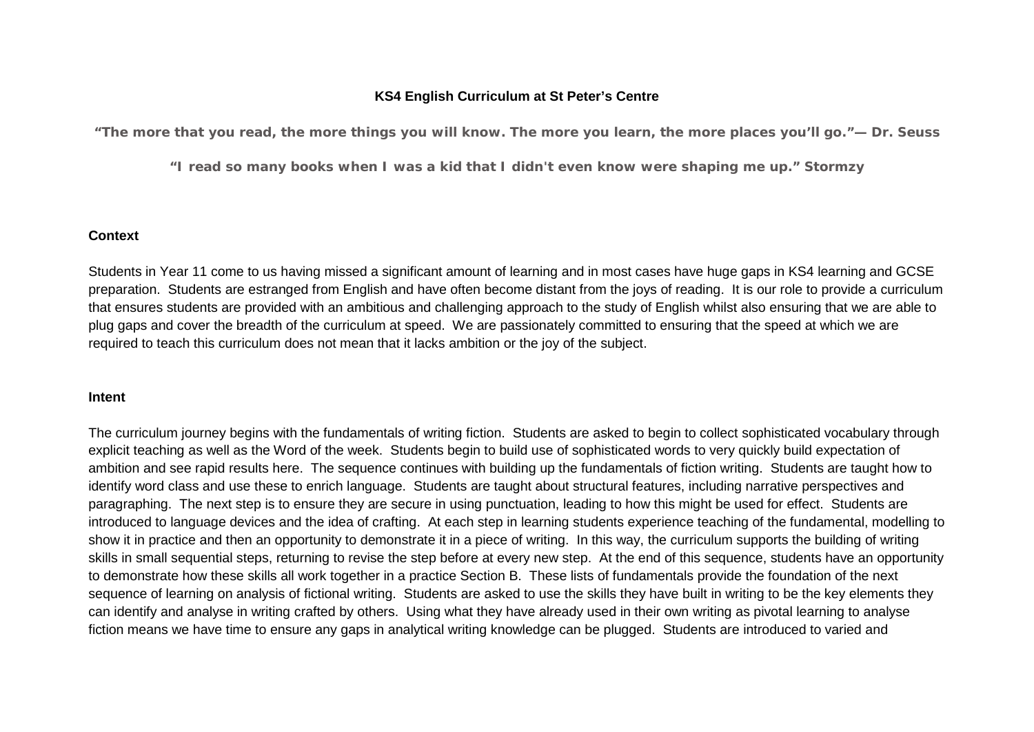## **KS4 English Curriculum at St Peter's Centre**

*"The more that you read, the more things you will know. The more you learn, the more places you'll go."— Dr. Seuss*

*"I read so many books when I was a kid that I didn't even know were shaping me up." Stormzy*

## **Context**

Students in Year 11 come to us having missed a significant amount of learning and in most cases have huge gaps in KS4 learning and GCSE preparation. Students are estranged from English and have often become distant from the joys of reading. It is our role to provide a curriculum that ensures students are provided with an ambitious and challenging approach to the study of English whilst also ensuring that we are able to plug gaps and cover the breadth of the curriculum at speed. We are passionately committed to ensuring that the speed at which we are required to teach this curriculum does not mean that it lacks ambition or the joy of the subject.

#### **Intent**

The curriculum journey begins with the fundamentals of writing fiction. Students are asked to begin to collect sophisticated vocabulary through explicit teaching as well as the Word of the week. Students begin to build use of sophisticated words to very quickly build expectation of ambition and see rapid results here. The sequence continues with building up the fundamentals of fiction writing. Students are taught how to identify word class and use these to enrich language. Students are taught about structural features, including narrative perspectives and paragraphing. The next step is to ensure they are secure in using punctuation, leading to how this might be used for effect. Students are introduced to language devices and the idea of crafting. At each step in learning students experience teaching of the fundamental, modelling to show it in practice and then an opportunity to demonstrate it in a piece of writing. In this way, the curriculum supports the building of writing skills in small sequential steps, returning to revise the step before at every new step. At the end of this sequence, students have an opportunity to demonstrate how these skills all work together in a practice Section B. These lists of fundamentals provide the foundation of the next sequence of learning on analysis of fictional writing. Students are asked to use the skills they have built in writing to be the key elements they can identify and analyse in writing crafted by others. Using what they have already used in their own writing as pivotal learning to analyse fiction means we have time to ensure any gaps in analytical writing knowledge can be plugged. Students are introduced to varied and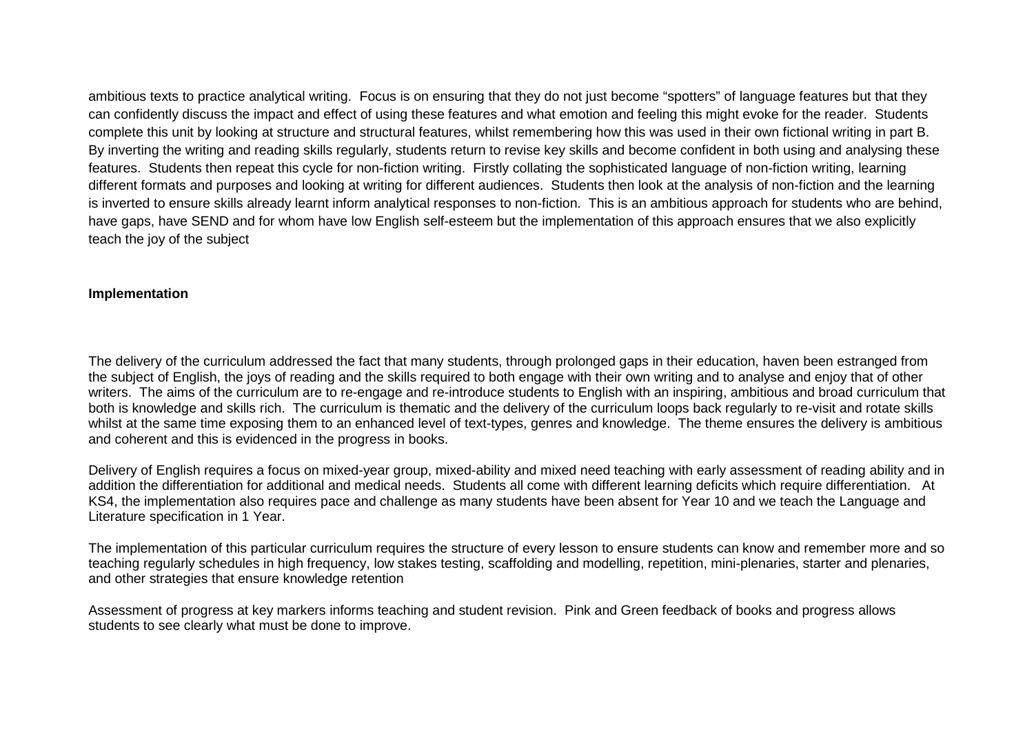ambitious texts to practice analytical writing. Focus is on ensuring that they do not just become "spotters" of language features but that they can confidently discuss the impact and effect of using these features and what emotion and feeling this might evoke for the reader. Students complete this unit by looking at structure and structural features, whilst remembering how this was used in their own fictional writing in part B. By inverting the writing and reading skills regularly, students return to revise key skills and become confident in both using and analysing these features. Students then repeat this cycle for non-fiction writing. Firstly collating the sophisticated language of non-fiction writing, learning different formats and purposes and looking at writing for different audiences. Students then look at the analysis of non-fiction and the learning is inverted to ensure skills already learnt inform analytical responses to non-fiction. This is an ambitious approach for students who are behind, have gaps, have SEND and for whom have low English self-esteem but the implementation of this approach ensures that we also explicitly teach the joy of the subject

## **Implementation**

The delivery of the curriculum addressed the fact that many students, through prolonged gaps in their education, haven been estranged from the subject of English, the joys of reading and the skills required to both engage with their own writing and to analyse and enjoy that of other writers. The aims of the curriculum are to re-engage and re-introduce students to English with an inspiring, ambitious and broad curriculum that both is knowledge and skills rich. The curriculum is thematic and the delivery of the curriculum loops back regularly to re-visit and rotate skills whilst at the same time exposing them to an enhanced level of text-types, genres and knowledge. The theme ensures the delivery is ambitious and coherent and this is evidenced in the progress in books.

Delivery of English requires a focus on mixed-year group, mixed-ability and mixed need teaching with early assessment of reading ability and in addition the differentiation for additional and medical needs. Students all come with different learning deficits which require differentiation. At KS4, the implementation also requires pace and challenge as many students have been absent for Year 10 and we teach the Language and Literature specification in 1 Year.

The implementation of this particular curriculum requires the structure of every lesson to ensure students can know and remember more and so teaching regularly schedules in high frequency, low stakes testing, scaffolding and modelling, repetition, mini-plenaries, starter and plenaries, and other strategies that ensure knowledge retention

Assessment of progress at key markers informs teaching and student revision. Pink and Green feedback of books and progress allows students to see clearly what must be done to improve.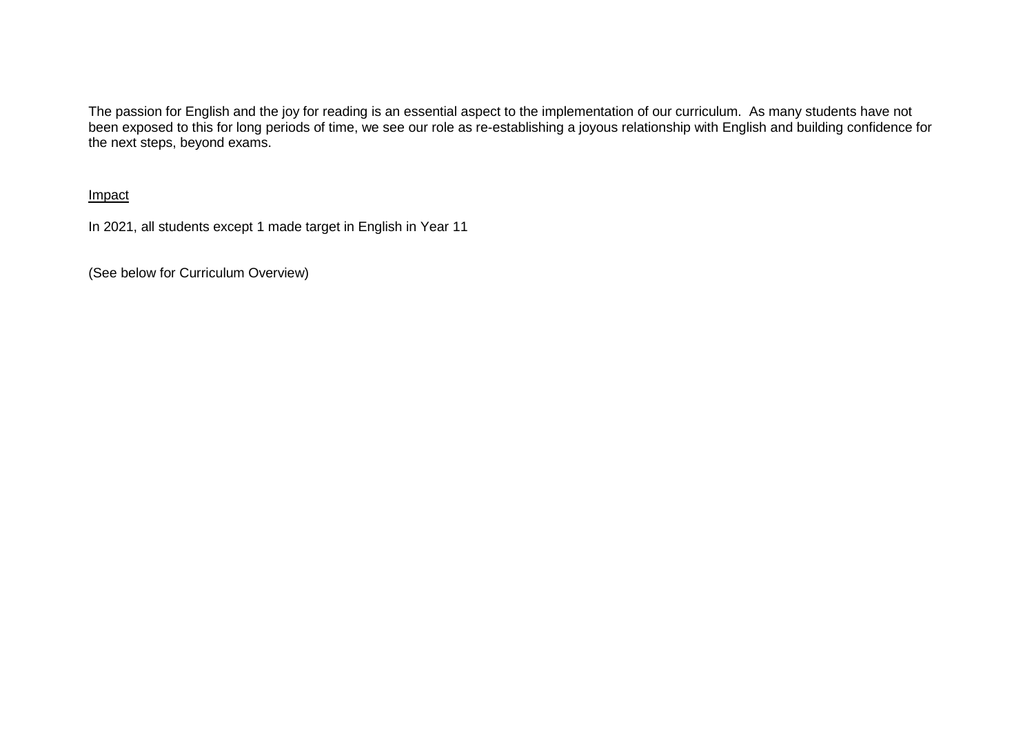The passion for English and the joy for reading is an essential aspect to the implementation of our curriculum. As many students have not been exposed to this for long periods of time, we see our role as re-establishing a joyous relationship with English and building confidence for the next steps, beyond exams.

Impact

In 2021, all students except 1 made target in English in Year 11

(See below for Curriculum Overview)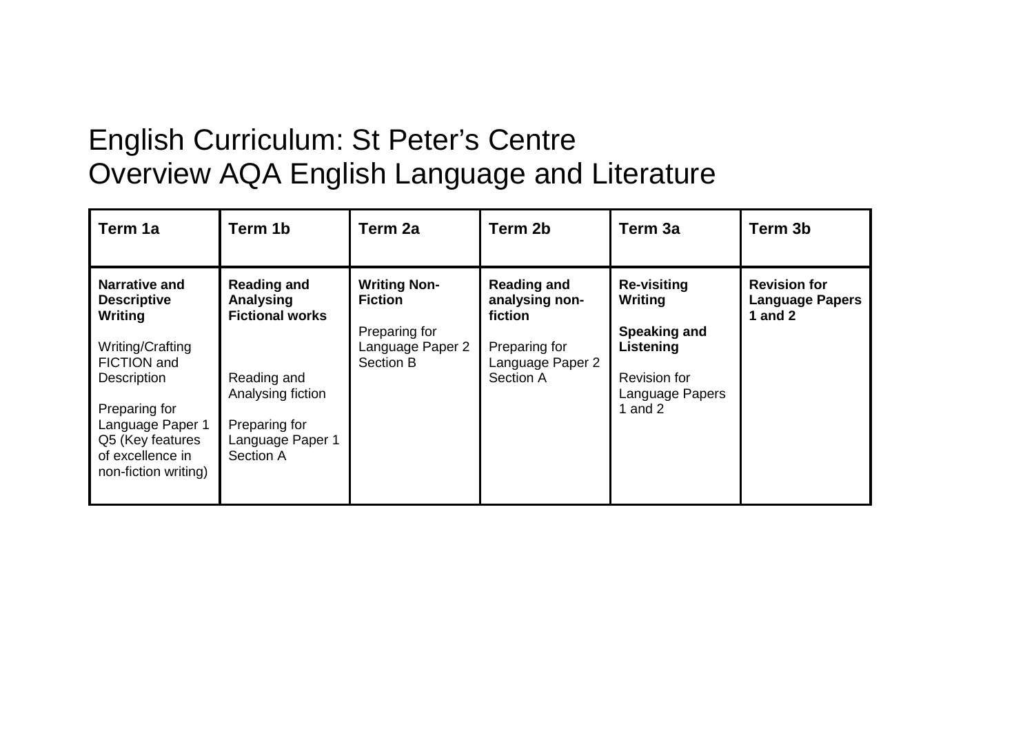# English Curriculum: St Peter's Centre Overview AQA English Language and Literature

| Term 1a                                                                                                                                                                                                      | Term 1b                                                                                                                                         | Term 2a                                                                                 | Term 2b                                                                                           | Term 3a                                                                                                                  | Term 3b                                                    |
|--------------------------------------------------------------------------------------------------------------------------------------------------------------------------------------------------------------|-------------------------------------------------------------------------------------------------------------------------------------------------|-----------------------------------------------------------------------------------------|---------------------------------------------------------------------------------------------------|--------------------------------------------------------------------------------------------------------------------------|------------------------------------------------------------|
| <b>Narrative and</b><br><b>Descriptive</b><br>Writing<br>Writing/Crafting<br>FICTION and<br>Description<br>Preparing for<br>Language Paper 1<br>Q5 (Key features<br>of excellence in<br>non-fiction writing) | <b>Reading and</b><br>Analysing<br><b>Fictional works</b><br>Reading and<br>Analysing fiction<br>Preparing for<br>Language Paper 1<br>Section A | <b>Writing Non-</b><br><b>Fiction</b><br>Preparing for<br>Language Paper 2<br>Section B | <b>Reading and</b><br>analysing non-<br>fiction<br>Preparing for<br>Language Paper 2<br>Section A | <b>Re-visiting</b><br>Writing<br><b>Speaking and</b><br>Listening<br><b>Revision for</b><br>Language Papers<br>1 and $2$ | <b>Revision for</b><br><b>Language Papers</b><br>1 and $2$ |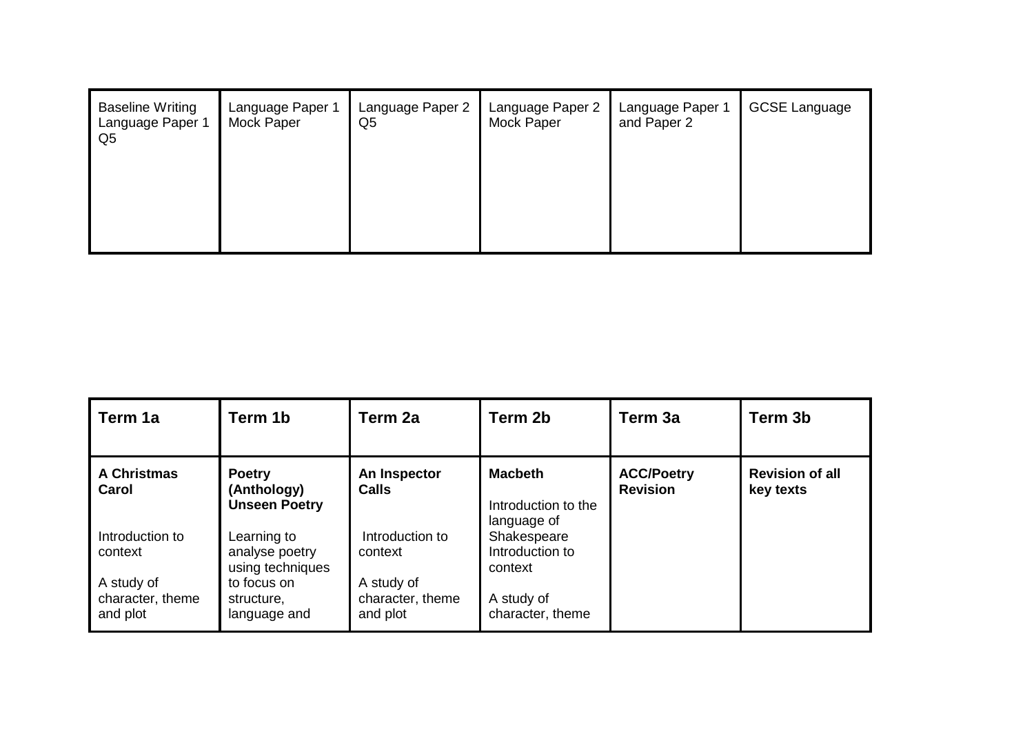| <b>Baseline Writing</b><br>Language Paper 1<br>Q <sub>5</sub> | Language Paper 1<br>Mock Paper | Language Paper 2<br>Q <sub>5</sub> | Language Paper 2<br>Mock Paper | Language Paper 1<br>and Paper 2 | <b>GCSE Language</b> |
|---------------------------------------------------------------|--------------------------------|------------------------------------|--------------------------------|---------------------------------|----------------------|
|                                                               |                                |                                    |                                |                                 |                      |

| l Term 1a                                  | Term 1b                                              | Term 2a                                    | Term 2b                                              | Term 3a                              | Term 3b                             |
|--------------------------------------------|------------------------------------------------------|--------------------------------------------|------------------------------------------------------|--------------------------------------|-------------------------------------|
| <b>A Christmas</b><br>Carol                | <b>Poetry</b><br>(Anthology)<br><b>Unseen Poetry</b> | An Inspector<br><b>Calls</b>               | <b>Macbeth</b><br>Introduction to the<br>language of | <b>ACC/Poetry</b><br><b>Revision</b> | <b>Revision of all</b><br>key texts |
| Introduction to<br>context                 | Learning to<br>analyse poetry<br>using techniques    | Introduction to<br>context                 | Shakespeare<br>Introduction to<br>context            |                                      |                                     |
| A study of<br>character, theme<br>and plot | to focus on<br>structure,<br>language and            | A study of<br>character, theme<br>and plot | A study of<br>character, theme                       |                                      |                                     |